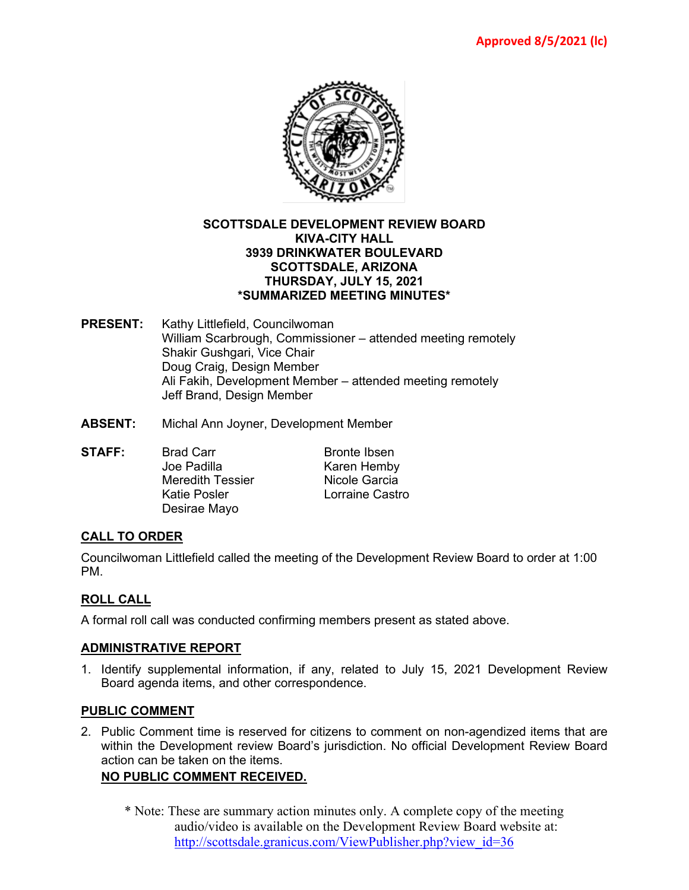

#### **SCOTTSDALE DEVELOPMENT REVIEW BOARD KIVA-CITY HALL 3939 DRINKWATER BOULEVARD SCOTTSDALE, ARIZONA THURSDAY, JULY 15, 2021 \*SUMMARIZED MEETING MINUTES\***

- **PRESENT:** Kathy Littlefield, Councilwoman William Scarbrough, Commissioner – attended meeting remotely Shakir Gushgari, Vice Chair Doug Craig, Design Member Ali Fakih, Development Member – attended meeting remotely Jeff Brand, Design Member
- **ABSENT:** Michal Ann Joyner, Development Member
- **STAFF:** Brad Carr Bronte Ibsen<br>
Joe Padilla Bronte Hemby Karen Hemby Meredith Tessier **Nicole Garcia** Katie Posler **Lorraine Castro** Desirae Mayo

### **CALL TO ORDER**

Councilwoman Littlefield called the meeting of the Development Review Board to order at 1:00 PM.

# **ROLL CALL**

A formal roll call was conducted confirming members present as stated above.

### **ADMINISTRATIVE REPORT**

1. Identify supplemental information, if any, related to July 15, 2021 Development Review Board agenda items, and other correspondence.

#### **PUBLIC COMMENT**

2. Public Comment time is reserved for citizens to comment on non-agendized items that are within the Development review Board's jurisdiction. No official Development Review Board action can be taken on the items.

### **NO PUBLIC COMMENT RECEIVED.**

\* Note: These are summary action minutes only. A complete copy of the meeting audio/video is available on the Development Review Board website at: [http://scottsdale.granicus.com/ViewPublisher.php?view\\_id=36](http://scottsdale.granicus.com/ViewPublisher.php?view_id=36)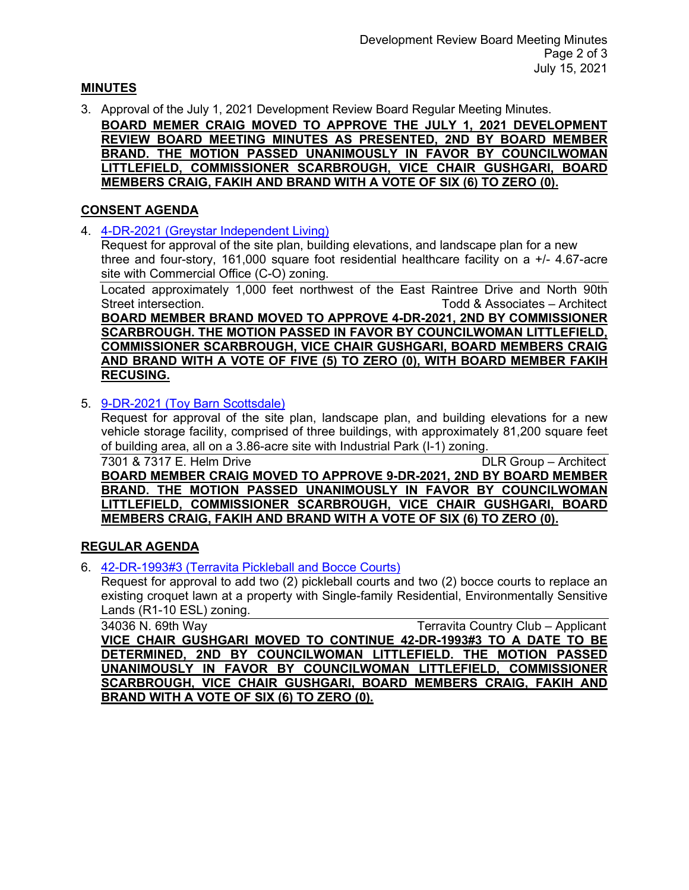# **MINUTES**

3. Approval of the July 1, 2021 Development Review Board Regular Meeting Minutes.

**BOARD MEMER CRAIG MOVED TO APPROVE THE JULY 1, 2021 DEVELOPMENT REVIEW BOARD MEETING MINUTES AS PRESENTED, 2ND BY BOARD MEMBER BRAND. THE MOTION PASSED UNANIMOUSLY IN FAVOR BY COUNCILWOMAN LITTLEFIELD, COMMISSIONER SCARBROUGH, VICE CHAIR GUSHGARI, BOARD MEMBERS CRAIG, FAKIH AND BRAND WITH A VOTE OF SIX (6) TO ZERO (0).**

### **CONSENT AGENDA**

4. [4-DR-2021 \(Greystar Independent Living\)](https://eservices.scottsdaleaz.gov/planning/projectsummary/dr_reports/DR_4_DR_2021.pdf)

Request for approval of the site plan, building elevations, and landscape plan for a new three and four-story, 161,000 square foot residential healthcare facility on a +/- 4.67-acre site with Commercial Office (C-O) zoning.

Located approximately 1,000 feet northwest of the East Raintree Drive and North 90th Street intersection. Todd & Associates – Architect **BOARD MEMBER BRAND MOVED TO APPROVE 4-DR-2021, 2ND BY COMMISSIONER SCARBROUGH. THE MOTION PASSED IN FAVOR BY COUNCILWOMAN LITTLEFIELD, COMMISSIONER SCARBROUGH, VICE CHAIR GUSHGARI, BOARD MEMBERS CRAIG AND BRAND WITH A VOTE OF FIVE (5) TO ZERO (0), WITH BOARD MEMBER FAKIH RECUSING.**

5. [9-DR-2021 \(Toy Barn Scottsdale\)](https://eservices.scottsdaleaz.gov/planning/projectsummary/dr_reports/DR_9_DR_2021.pdf)

Request for approval of the site plan, landscape plan, and building elevations for a new vehicle storage facility, comprised of three buildings, with approximately 81,200 square feet of building area, all on a 3.86-acre site with Industrial Park (I-1) zoning.

7301 & 7317 E. Helm Drive DLR Group – Architect **BOARD MEMBER CRAIG MOVED TO APPROVE 9-DR-2021, 2ND BY BOARD MEMBER BRAND. THE MOTION PASSED UNANIMOUSLY IN FAVOR BY COUNCILWOMAN LITTLEFIELD, COMMISSIONER SCARBROUGH, VICE CHAIR GUSHGARI, BOARD MEMBERS CRAIG, FAKIH AND BRAND WITH A VOTE OF SIX (6) TO ZERO (0).**

# **REGULAR AGENDA**

6. [42-DR-1993#3 \(Terravita Pickleball and Bocce Courts\)](https://eservices.scottsdaleaz.gov/planning/projectsummary/dr_reports/DR_42_DR_1993_3.pdf)

Request for approval to add two (2) pickleball courts and two (2) bocce courts to replace an existing croquet lawn at a property with Single-family Residential, Environmentally Sensitive Lands (R1-10 ESL) zoning.

34036 N. 69th Way Terravita Country Club – Applicant **VICE CHAIR GUSHGARI MOVED TO CONTINUE 42-DR-1993#3 TO A DATE TO BE DETERMINED, 2ND BY COUNCILWOMAN LITTLEFIELD. THE MOTION PASSED UNANIMOUSLY IN FAVOR BY COUNCILWOMAN LITTLEFIELD, COMMISSIONER SCARBROUGH, VICE CHAIR GUSHGARI, BOARD MEMBERS CRAIG, FAKIH AND BRAND WITH A VOTE OF SIX (6) TO ZERO (0).**